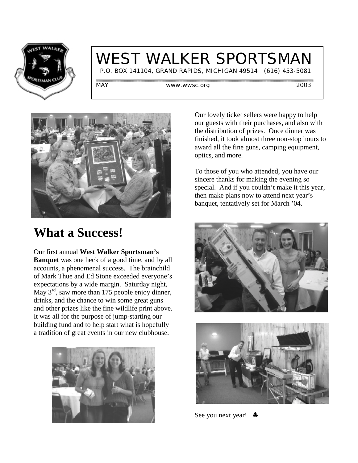

#### WEST WALKER SPORTSMAN

P.O. BOX 141104, GRAND RAPIDS, MICHIGAN 49514 (616) 453-5081

MAY www.wwsc.org 2003



#### **What a Success!**

#### Our first annual **West Walker Sportsman's**

**Banquet** was one heck of a good time, and by all accounts, a phenomenal success. The brainchild of Mark Thue and Ed Stone exceeded everyone's expectations by a wide margin. Saturday night, May  $3^{rd}$ , saw more than 175 people enjoy dinner, drinks, and the chance to win some great guns and other prizes like the fine wildlife print above. It was all for the purpose of jump-starting our building fund and to help start what is hopefully a tradition of great events in our new clubhouse.



Our lovely ticket sellers were happy to help our guests with their purchases, and also with the distribution of prizes. Once dinner was finished, it took almost three non-stop hours to award all the fine guns, camping equipment, optics, and more.

To those of you who attended, you have our sincere thanks for making the evening so special. And if you couldn't make it this year, then make plans now to attend next year's banquet, tentatively set for March '04.





See you next year! ♣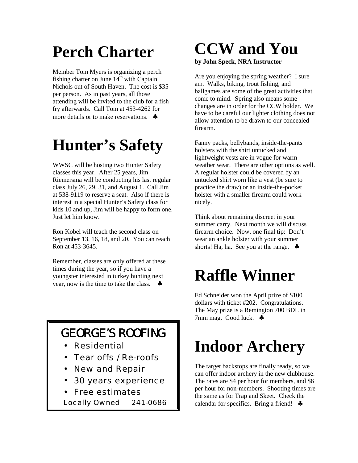### **Perch Charter**

Member Tom Myers is organizing a perch fishing charter on June  $14<sup>th</sup>$  with Captain Nichols out of South Haven. The cost is \$35 per person. As in past years, all those attending will be invited to the club for a fish fry afterwards. Call Tom at 453-4262 for more details or to make reservations.  $\bullet$ 

# **Hunter's Safety**

WWSC will be hosting two Hunter Safety classes this year. After 25 years, Jim Riemersma will be conducting his last regular class July 26, 29, 31, and August 1. Call Jim at 538-9119 to reserve a seat. Also if there is interest in a special Hunter's Safety class for kids 10 and up, Jim will be happy to form one. Just let him know.

Ron Kobel will teach the second class on September 13, 16, 18, and 20. You can reach Ron at 453-3645.

Remember, classes are only offered at these times during the year, so if you have a youngster interested in turkey hunting next year, now is the time to take the class.  $\bullet$ 

#### GEORGE'S ROOFING

- Residential
- Tear offs / Re-roofs
- New and Repair
- 30 years experience
- Free estimates

Locally Owned 241-0686

# **CCW and You**

**by John Speck, NRA Instructor**

Are you enjoying the spring weather? I sure am. Walks, biking, trout fishing, and ballgames are some of the great activities that come to mind. Spring also means some changes are in order for the CCW holder. We have to be careful our lighter clothing does not allow attention to be drawn to our concealed firearm.

Fanny packs, bellybands, inside-the-pants holsters with the shirt untucked and lightweight vests are in vogue for warm weather wear. There are other options as well. A regular holster could be covered by an untucked shirt worn like a vest (be sure to practice the draw) or an inside-the-pocket holster with a smaller firearm could work nicely.

Think about remaining discreet in your summer carry. Next month we will discuss firearm choice. Now, one final tip: Don't wear an ankle holster with your summer shorts! Ha, ha. See you at the range. ♣

## **Raffle Winner**

Ed Schneider won the April prize of \$100 dollars with ticket #202. Congratulations. The May prize is a Remington 700 BDL in 7mm mag. Good luck. ♣

# **Indoor Archery**

The target backstops are finally ready, so we can offer indoor archery in the new clubhouse. The rates are \$4 per hour for members, and \$6 per hour for non-members. Shooting times are the same as for Trap and Skeet. Check the calendar for specifics. Bring a friend!  $\clubsuit$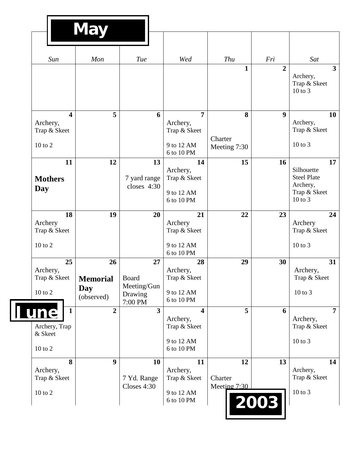|                                                 |                         | <b>May</b>                            |                                                   |                         |                                                                                 |                               |                  |                                                                               |
|-------------------------------------------------|-------------------------|---------------------------------------|---------------------------------------------------|-------------------------|---------------------------------------------------------------------------------|-------------------------------|------------------|-------------------------------------------------------------------------------|
| Sun                                             |                         | Mon                                   | Tue                                               |                         | Wed                                                                             | Thu                           | Fri              | Sat                                                                           |
|                                                 |                         |                                       |                                                   |                         |                                                                                 | $\mathbf{1}$                  | $\overline{2}$   | $\overline{3}$<br>Archery,<br>Trap & Skeet<br>10 to 3                         |
| Archery,<br>Trap & Skeet<br>$10$ to $2$         | $\overline{\mathbf{4}}$ | 5                                     |                                                   | 6                       | 7<br>Archery,<br>Trap & Skeet<br>9 to 12 AM<br>6 to 10 PM                       | 8<br>Charter<br>Meeting 7:30  | $\boldsymbol{9}$ | 10<br>Archery,<br>Trap & Skeet<br>$10$ to $3$                                 |
| <b>Mothers</b><br>Day                           | 11                      | 12                                    | 7 yard range<br>closes $4:30$                     | 13                      | 14<br>Archery,<br>Trap & Skeet<br>9 to 12 AM<br>6 to 10 PM                      | 15                            | 16               | 17<br>Silhouette<br><b>Steel Plate</b><br>Archery,<br>Trap & Skeet<br>10 to 3 |
| Archery<br>Trap & Skeet<br>$10$ to $2$          | 18                      | 19                                    |                                                   | 20                      | 21<br>Archery<br>Trap & Skeet<br>9 to 12 AM<br>6 to 10 PM                       | 22                            | 23               | 24<br>Archery<br>Trap & Skeet<br>$10$ to $3$                                  |
| Archery,<br>Trap & Skeet<br>$10$ to $2$         | 25                      | 26<br>  Memorial<br>Day<br>(observed) | <b>Board</b><br>Meeting/Gun<br>Drawing<br>7:00 PM | 27                      | 28<br>Archery,<br>Trap & Skeet<br>9 to 12 AM<br>6 to 10 PM                      | 29                            | 30               | 31<br>Archery,<br>Trap & Skeet<br>10 to 3                                     |
| June<br>Archery, Trap<br>& Skeet<br>$10$ to $2$ | $\mathbf{1}$            | $\overline{2}$                        |                                                   | $\overline{\mathbf{3}}$ | $\overline{\mathbf{4}}$<br>Archery,<br>Trap & Skeet<br>9 to 12 AM<br>6 to 10 PM | 5 <sup>5</sup>                | 6                | $\overline{7}$<br>Archery,<br>Trap & Skeet<br>10 to 3                         |
| Archery,<br>Trap & Skeet<br>10 to 2             | 8                       | 9                                     | 7 Yd. Range<br>Closes 4:30                        | <b>10</b>               | 11<br>Archery,<br>Trap & Skeet<br>9 to 12 AM<br>6 to 10 PM                      | 12<br>Charter<br>Meeting 7:30 | 13<br>2003       | 14<br>Archery,<br>Trap & Skeet<br>10 to 3                                     |